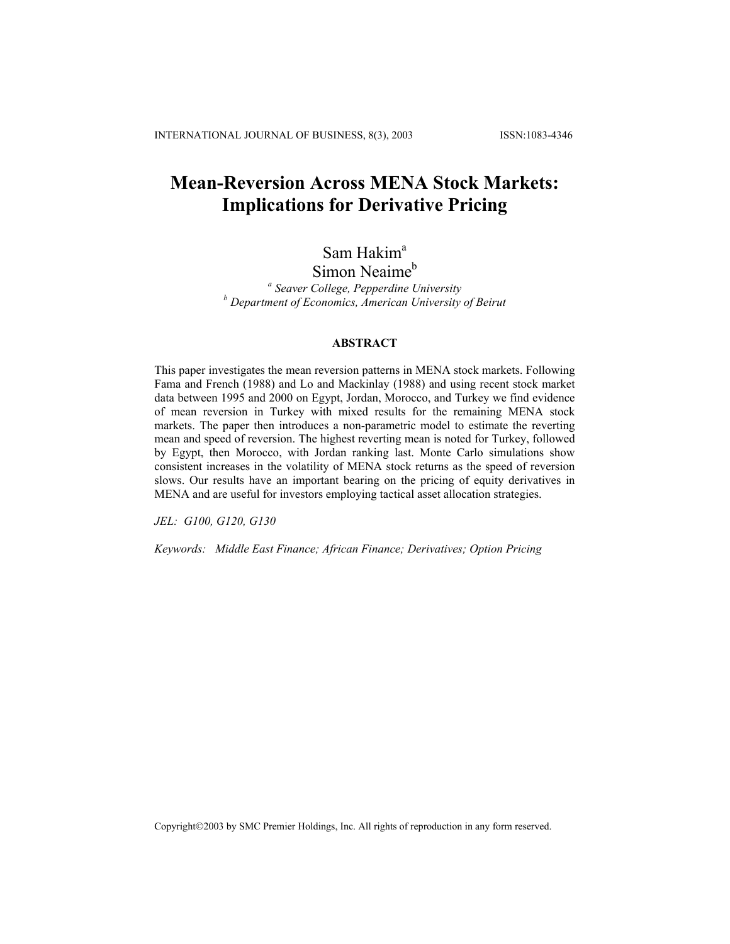# **Mean-Reversion Across MENA Stock Markets: Implications for Derivative Pricing**

# Sam Hakim<sup>a</sup>

## Simon Neaime<sup>b</sup>

*a Seaver College, Pepperdine University b Department of Economics, American University of Beirut*

### **ABSTRACT**

This paper investigates the mean reversion patterns in MENA stock markets. Following Fama and French (1988) and Lo and Mackinlay (1988) and using recent stock market data between 1995 and 2000 on Egypt, Jordan, Morocco, and Turkey we find evidence of mean reversion in Turkey with mixed results for the remaining MENA stock markets. The paper then introduces a non-parametric model to estimate the reverting mean and speed of reversion. The highest reverting mean is noted for Turkey, followed by Egypt, then Morocco, with Jordan ranking last. Monte Carlo simulations show consistent increases in the volatility of MENA stock returns as the speed of reversion slows. Our results have an important bearing on the pricing of equity derivatives in MENA and are useful for investors employing tactical asset allocation strategies.

*JEL: G100, G120, G130* 

*Keywords: Middle East Finance; African Finance; Derivatives; Option Pricing*

Copyright©2003 by SMC Premier Holdings, Inc. All rights of reproduction in any form reserved.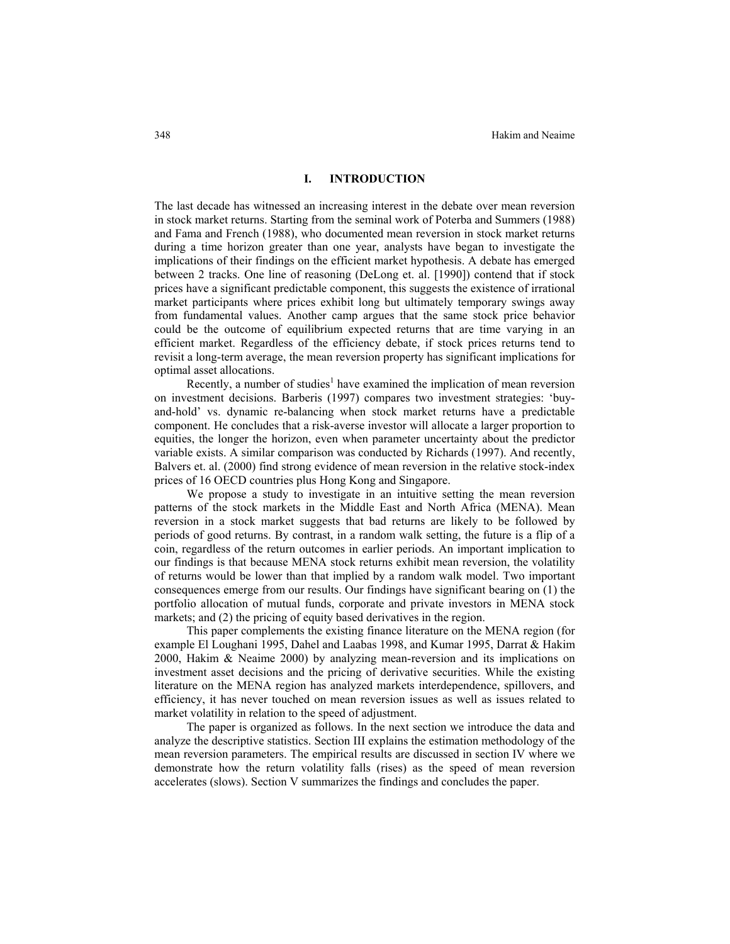### **I. INTRODUCTION**

The last decade has witnessed an increasing interest in the debate over mean reversion in stock market returns. Starting from the seminal work of Poterba and Summers (1988) and Fama and French (1988), who documented mean reversion in stock market returns during a time horizon greater than one year, analysts have began to investigate the implications of their findings on the efficient market hypothesis. A debate has emerged between 2 tracks. One line of reasoning (DeLong et. al. [1990]) contend that if stock prices have a significant predictable component, this suggests the existence of irrational market participants where prices exhibit long but ultimately temporary swings away from fundamental values. Another camp argues that the same stock price behavior could be the outcome of equilibrium expected returns that are time varying in an efficient market. Regardless of the efficiency debate, if stock prices returns tend to revisit a long-term average, the mean reversion property has significant implications for optimal asset allocations.

Recently, a number of studies<sup>1</sup> have examined the implication of mean reversion on investment decisions. Barberis (1997) compares two investment strategies: 'buyand-hold' vs. dynamic re-balancing when stock market returns have a predictable component. He concludes that a risk-averse investor will allocate a larger proportion to equities, the longer the horizon, even when parameter uncertainty about the predictor variable exists. A similar comparison was conducted by Richards (1997). And recently, Balvers et. al. (2000) find strong evidence of mean reversion in the relative stock-index prices of 16 OECD countries plus Hong Kong and Singapore.

We propose a study to investigate in an intuitive setting the mean reversion patterns of the stock markets in the Middle East and North Africa (MENA). Mean reversion in a stock market suggests that bad returns are likely to be followed by periods of good returns. By contrast, in a random walk setting, the future is a flip of a coin, regardless of the return outcomes in earlier periods. An important implication to our findings is that because MENA stock returns exhibit mean reversion, the volatility of returns would be lower than that implied by a random walk model. Two important consequences emerge from our results. Our findings have significant bearing on (1) the portfolio allocation of mutual funds, corporate and private investors in MENA stock markets; and (2) the pricing of equity based derivatives in the region.

This paper complements the existing finance literature on the MENA region (for example El Loughani 1995, Dahel and Laabas 1998, and Kumar 1995, Darrat & Hakim 2000, Hakim & Neaime 2000) by analyzing mean-reversion and its implications on investment asset decisions and the pricing of derivative securities. While the existing literature on the MENA region has analyzed markets interdependence, spillovers, and efficiency, it has never touched on mean reversion issues as well as issues related to market volatility in relation to the speed of adjustment.

The paper is organized as follows. In the next section we introduce the data and analyze the descriptive statistics. Section III explains the estimation methodology of the mean reversion parameters. The empirical results are discussed in section IV where we demonstrate how the return volatility falls (rises) as the speed of mean reversion accelerates (slows). Section V summarizes the findings and concludes the paper.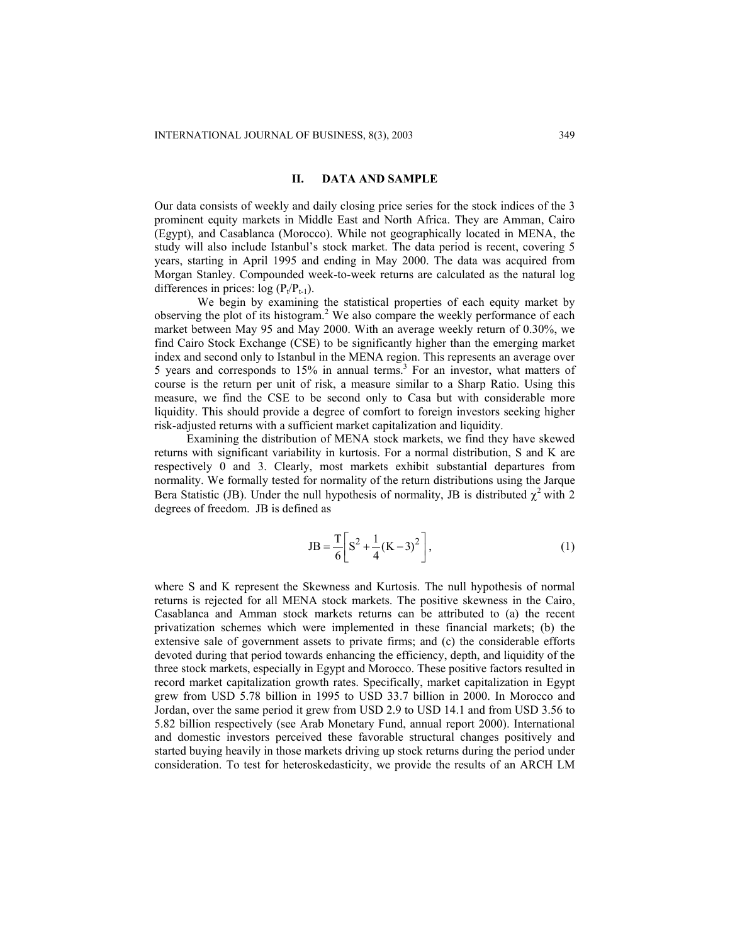#### **II. DATA AND SAMPLE**

Our data consists of weekly and daily closing price series for the stock indices of the 3 prominent equity markets in Middle East and North Africa. They are Amman, Cairo (Egypt), and Casablanca (Morocco). While not geographically located in MENA, the study will also include Istanbul's stock market. The data period is recent, covering 5 years, starting in April 1995 and ending in May 2000. The data was acquired from Morgan Stanley. Compounded week-to-week returns are calculated as the natural log differences in prices:  $log (P_t/P_{t-1})$ .

We begin by examining the statistical properties of each equity market by observing the plot of its histogram. <sup>2</sup> We also compare the weekly performance of each market between May 95 and May 2000. With an average weekly return of 0.30%, we find Cairo Stock Exchange (CSE) to be significantly higher than the emerging market index and second only to Istanbul in the MENA region. This represents an average over 5 years and corresponds to 15% in annual terms.<sup>3</sup> For an investor, what matters of course is the return per unit of risk, a measure similar to a Sharp Ratio. Using this measure, we find the CSE to be second only to Casa but with considerable more liquidity. This should provide a degree of comfort to foreign investors seeking higher risk-adjusted returns with a sufficient market capitalization and liquidity.

Examining the distribution of MENA stock markets, we find they have skewed returns with significant variability in kurtosis. For a normal distribution, S and K are respectively 0 and 3. Clearly, most markets exhibit substantial departures from normality. We formally tested for normality of the return distributions using the Jarque Bera Statistic (JB). Under the null hypothesis of normality, JB is distributed  $\chi^2$  with 2 degrees of freedom. JB is defined as

$$
JB = \frac{T}{6} \left[ S^2 + \frac{1}{4} (K - 3)^2 \right],
$$
 (1)

where S and K represent the Skewness and Kurtosis. The null hypothesis of normal returns is rejected for all MENA stock markets. The positive skewness in the Cairo, Casablanca and Amman stock markets returns can be attributed to (a) the recent privatization schemes which were implemented in these financial markets; (b) the extensive sale of government assets to private firms; and (c) the considerable efforts devoted during that period towards enhancing the efficiency, depth, and liquidity of the three stock markets, especially in Egypt and Morocco. These positive factors resulted in record market capitalization growth rates. Specifically, market capitalization in Egypt grew from USD 5.78 billion in 1995 to USD 33.7 billion in 2000. In Morocco and Jordan, over the same period it grew from USD 2.9 to USD 14.1 and from USD 3.56 to 5.82 billion respectively (see Arab Monetary Fund, annual report 2000). International and domestic investors perceived these favorable structural changes positively and started buying heavily in those markets driving up stock returns during the period under consideration. To test for heteroskedasticity, we provide the results of an ARCH LM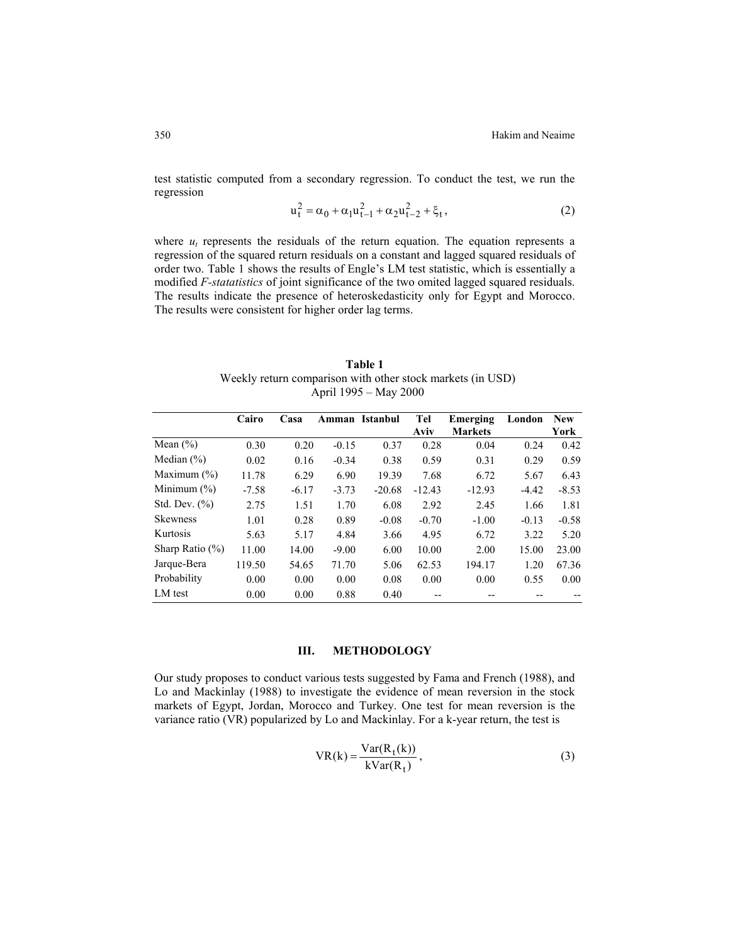test statistic computed from a secondary regression. To conduct the test, we run the regression

$$
u_t^2 = \alpha_0 + \alpha_1 u_{t-1}^2 + \alpha_2 u_{t-2}^2 + \xi_t,
$$
 (2)

where  $u_t$  represents the residuals of the return equation. The equation represents a regression of the squared return residuals on a constant and lagged squared residuals of order two. Table 1 shows the results of Engle's LM test statistic, which is essentially a modified *F-statatistics* of joint significance of the two omited lagged squared residuals. The results indicate the presence of heteroskedasticity only for Egypt and Morocco. The results were consistent for higher order lag terms.

**Table 1** Weekly return comparison with other stock markets (in USD) April 1995 – May 2000

|                     | Cairo   | Casa    | Amman   | Istanbul | Tel      | Emerging       | London  | <b>New</b> |
|---------------------|---------|---------|---------|----------|----------|----------------|---------|------------|
|                     |         |         |         |          | Aviv     | <b>Markets</b> |         | York       |
| Mean $(\% )$        | 0.30    | 0.20    | $-0.15$ | 0.37     | 0.28     | 0.04           | 0.24    | 0.42       |
| Median $(\% )$      | 0.02    | 0.16    | $-0.34$ | 0.38     | 0.59     | 0.31           | 0.29    | 0.59       |
| Maximum $(\% )$     | 11.78   | 6.29    | 6.90    | 19.39    | 7.68     | 6.72           | 5.67    | 6.43       |
| Minimum $(\% )$     | $-7.58$ | $-6.17$ | $-3.73$ | $-20.68$ | $-12.43$ | $-12.93$       | $-4.42$ | $-8.53$    |
| Std. Dev. $(\% )$   | 2.75    | 1.51    | 1.70    | 6.08     | 2.92     | 2.45           | 1.66    | 1.81       |
| <b>Skewness</b>     | 1.01    | 0.28    | 0.89    | $-0.08$  | $-0.70$  | $-1.00$        | $-0.13$ | $-0.58$    |
| Kurtosis            | 5.63    | 5.17    | 4.84    | 3.66     | 4.95     | 6.72           | 3.22    | 5.20       |
| Sharp Ratio $(\% )$ | 11.00   | 14.00   | $-9.00$ | 6.00     | 10.00    | 2.00           | 15.00   | 23.00      |
| Jarque-Bera         | 119.50  | 54.65   | 71.70   | 5.06     | 62.53    | 194.17         | 1.20    | 67.36      |
| Probability         | 0.00    | 0.00    | 0.00    | 0.08     | 0.00     | 0.00           | 0.55    | 0.00       |
| LM test             | 0.00    | 0.00    | 0.88    | 0.40     |          |                |         |            |

### **III. METHODOLOGY**

Our study proposes to conduct various tests suggested by Fama and French (1988), and Lo and Mackinlay (1988) to investigate the evidence of mean reversion in the stock markets of Egypt, Jordan, Morocco and Turkey. One test for mean reversion is the variance ratio (VR) popularized by Lo and Mackinlay. For a k-year return, the test is

$$
VR(k) = \frac{Var(R_t(k))}{kVar(R_t)},
$$
\n(3)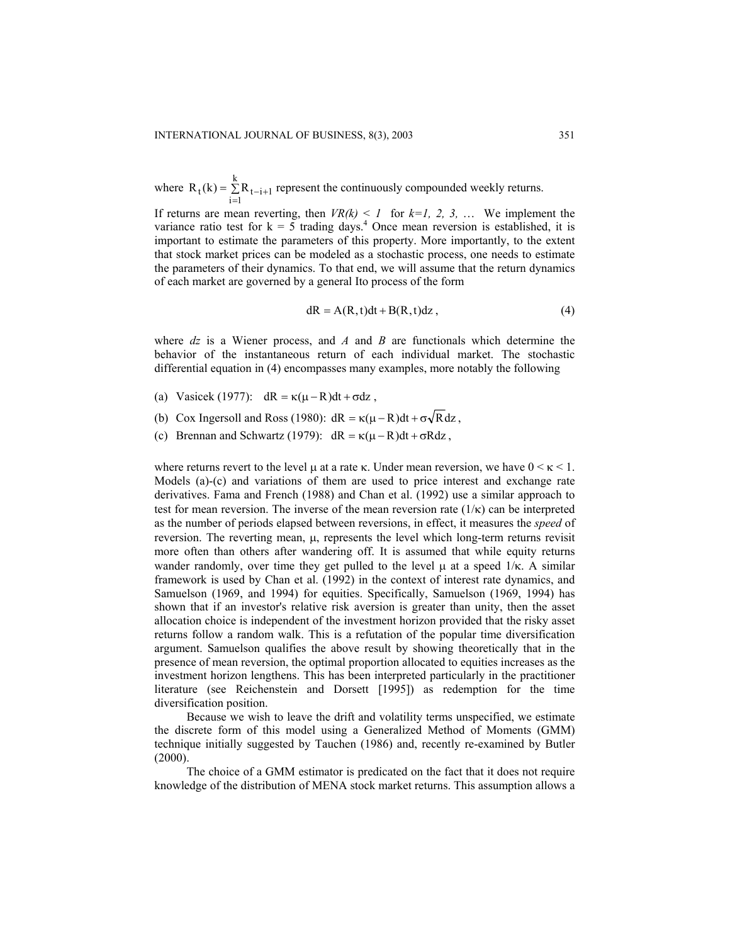where  $R_t(k) = \sum_{i=1}^{k} R_{t-i+1}$  represent the continuously compounded weekly returns. k  $R_t(k) = \sum_{i=1} R_{t-i+1}$ 

If returns are mean reverting, then  $VR(k) \leq 1$  for  $k=1, 2, 3, \ldots$  We implement the variance ratio test for  $k = 5$  trading days.<sup>4</sup> Once mean reversion is established, it is important to estimate the parameters of this property. More importantly, to the extent that stock market prices can be modeled as a stochastic process, one needs to estimate the parameters of their dynamics. To that end, we will assume that the return dynamics of each market are governed by a general Ito process of the form

$$
dR = A(R, t)dt + B(R, t)dz, \qquad (4)
$$

where *dz* is a Wiener process, and *A* and *B* are functionals which determine the behavior of the instantaneous return of each individual market. The stochastic differential equation in (4) encompasses many examples, more notably the following

- (a) Vasicek (1977):  $dR = \kappa(\mu R)dt + \sigma dz$ ,
- (b) Cox Ingersoll and Ross (1980):  $dR = \kappa(\mu R)dt + \sigma \sqrt{R} dz$ ,
- (c) Brennan and Schwartz (1979):  $dR = \kappa(\mu R)dt + \sigma Rdz$ ,

where returns revert to the level  $\mu$  at a rate  $\kappa$ . Under mean reversion, we have  $0 \leq \kappa \leq 1$ . Models (a)-(c) and variations of them are used to price interest and exchange rate derivatives. Fama and French (1988) and Chan et al. (1992) use a similar approach to test for mean reversion. The inverse of the mean reversion rate  $(1/\kappa)$  can be interpreted as the number of periods elapsed between reversions, in effect, it measures the *speed* of reversion. The reverting mean,  $\mu$ , represents the level which long-term returns revisit more often than others after wandering off. It is assumed that while equity returns wander randomly, over time they get pulled to the level  $\mu$  at a speed  $1/\kappa$ . A similar framework is used by Chan et al. (1992) in the context of interest rate dynamics, and Samuelson (1969, and 1994) for equities. Specifically, Samuelson (1969, 1994) has shown that if an investor's relative risk aversion is greater than unity, then the asset allocation choice is independent of the investment horizon provided that the risky asset returns follow a random walk. This is a refutation of the popular time diversification argument. Samuelson qualifies the above result by showing theoretically that in the presence of mean reversion, the optimal proportion allocated to equities increases as the investment horizon lengthens. This has been interpreted particularly in the practitioner literature (see Reichenstein and Dorsett [1995]) as redemption for the time diversification position.

Because we wish to leave the drift and volatility terms unspecified, we estimate the discrete form of this model using a Generalized Method of Moments (GMM) technique initially suggested by Tauchen (1986) and, recently re-examined by Butler (2000).

The choice of a GMM estimator is predicated on the fact that it does not require knowledge of the distribution of MENA stock market returns. This assumption allows a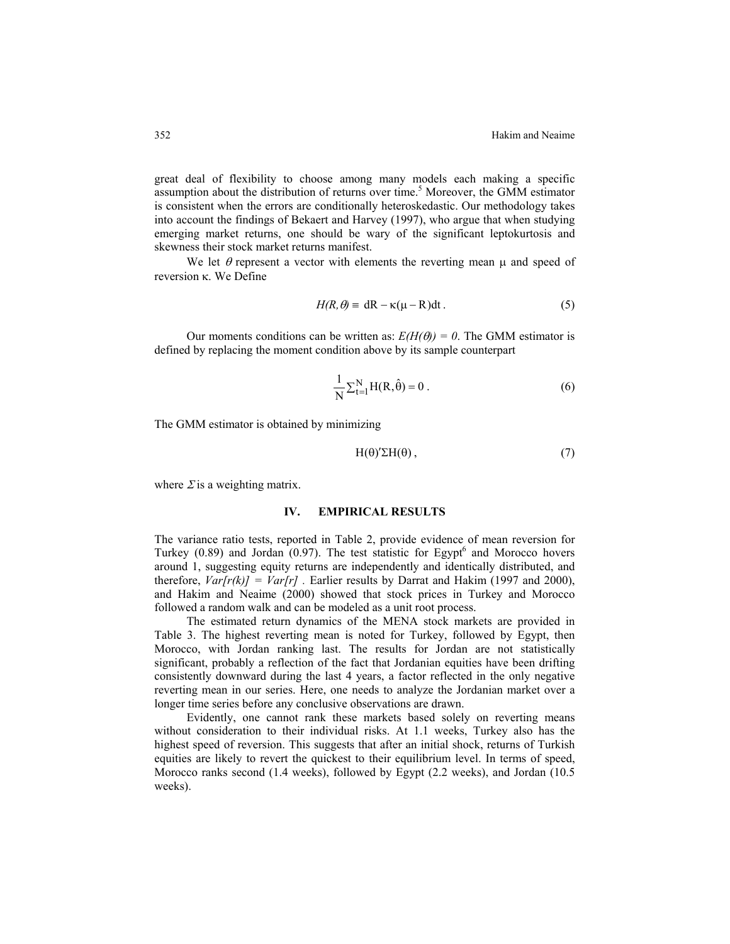great deal of flexibility to choose among many models each making a specific assumption about the distribution of returns over time.<sup>5</sup> Moreover, the GMM estimator is consistent when the errors are conditionally heteroskedastic. Our methodology takes into account the findings of Bekaert and Harvey (1997), who argue that when studying emerging market returns, one should be wary of the significant leptokurtosis and skewness their stock market returns manifest.

We let  $\theta$  represent a vector with elements the reverting mean  $\mu$  and speed of reversion κ. We Define

$$
H(R, \theta) = dR - \kappa(\mu - R)dt.
$$
 (5)

Our moments conditions can be written as:  $E(H(\theta)) = 0$ . The GMM estimator is defined by replacing the moment condition above by its sample counterpart

$$
\frac{1}{N} \sum_{t=1}^{N} H(R, \hat{\theta}) = 0.
$$
 (6)

The GMM estimator is obtained by minimizing

$$
H(\theta)'\Sigma H(\theta)\,,\tag{7}
$$

where  $\Sigma$  is a weighting matrix.

## **IV. EMPIRICAL RESULTS**

The variance ratio tests, reported in Table 2, provide evidence of mean reversion for Turkey  $(0.89)$  and Jordan  $(0.97)$ . The test statistic for Egypt<sup>6</sup> and Morocco hovers around 1, suggesting equity returns are independently and identically distributed, and therefore,  $Var[r(k)] = Var[r]$ . Earlier results by Darrat and Hakim (1997 and 2000), and Hakim and Neaime (2000) showed that stock prices in Turkey and Morocco followed a random walk and can be modeled as a unit root process.

The estimated return dynamics of the MENA stock markets are provided in Table 3. The highest reverting mean is noted for Turkey, followed by Egypt, then Morocco, with Jordan ranking last. The results for Jordan are not statistically significant, probably a reflection of the fact that Jordanian equities have been drifting consistently downward during the last 4 years, a factor reflected in the only negative reverting mean in our series. Here, one needs to analyze the Jordanian market over a longer time series before any conclusive observations are drawn.

Evidently, one cannot rank these markets based solely on reverting means without consideration to their individual risks. At 1.1 weeks, Turkey also has the highest speed of reversion. This suggests that after an initial shock, returns of Turkish equities are likely to revert the quickest to their equilibrium level. In terms of speed, Morocco ranks second (1.4 weeks), followed by Egypt (2.2 weeks), and Jordan (10.5 weeks).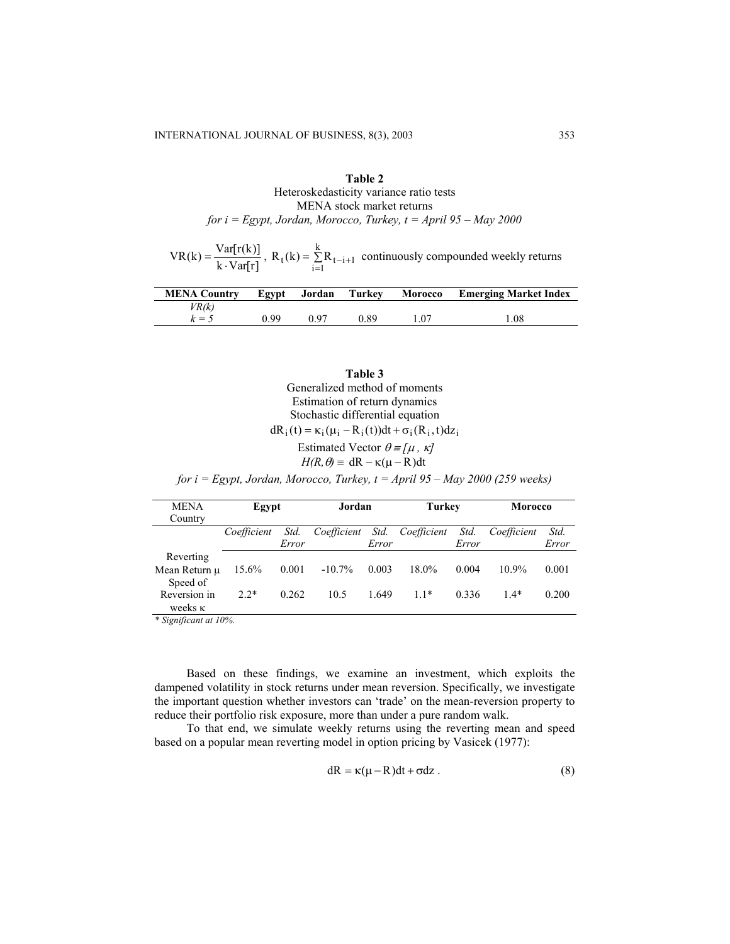## **Table 2** Heteroskedasticity variance ratio tests MENA stock market returns *for i = Egypt, Jordan, Morocco, Turkey, t = April 95 – May 2000*

 $VR(k) = \frac{Var[r(k)]}{k \cdot Var[r]}$ ,  $R_t(k) = \sum_{i=1}^{k} R_{t-i+1}$  continuously compounded weekly returns  $t(k) = \sum_{i=1}^{k} R_{t-i+1}$ 

| <b>MENA Country</b> | Egypt | Jordan | Turkev | <b>Morocco</b> | <b>Emerging Market Index</b> |
|---------------------|-------|--------|--------|----------------|------------------------------|
| VR(k)               |       |        |        |                |                              |
| $k = \epsilon$      | N 99  | በ ዓ7   | 0.89   |                | .08                          |

| Table 3                                                                          |
|----------------------------------------------------------------------------------|
| Generalized method of moments                                                    |
| Estimation of return dynamics                                                    |
| Stochastic differential equation                                                 |
| $dR_i(t) = \kappa_i(\mu_i - R_i(t))dt + \sigma_i(R_i, t)dz_i$                    |
| Estimated Vector $\theta = [\mu, \kappa]$                                        |
| $H(R, \theta) = dR - \kappa(\mu - R)dt$                                          |
| for $i = Egypt$ , Jordan, Morocco, Turkey, $t = April 95 - May 2000 (259 weeks)$ |

| <b>MENA</b><br>Country                 | Egypt       |               | Jordan      |               | <b>Turkey</b> |               | <b>Morocco</b> |               |
|----------------------------------------|-------------|---------------|-------------|---------------|---------------|---------------|----------------|---------------|
|                                        | Coefficient | Std.<br>Error | Coefficient | Std.<br>Error | Coefficient   | Std.<br>Error | Coefficient    | Std.<br>Error |
| Reverting<br>Mean Return u<br>Speed of | 15.6%       | 0.001         | $-10.7\%$   | 0.003         | $18.0\%$      | 0.004         | $10.9\%$       | 0.001         |
| Reversion in<br>weeks $\kappa$         | $2.2*$      | 0.262         | 10.5        | 1.649         | $11*$         | 0.336         | $1.4*$         | 0.200         |

*\* Significant at 10%.* 

Based on these findings, we examine an investment, which exploits the dampened volatility in stock returns under mean reversion. Specifically, we investigate the important question whether investors can 'trade' on the mean-reversion property to reduce their portfolio risk exposure, more than under a pure random walk.

To that end, we simulate weekly returns using the reverting mean and speed based on a popular mean reverting model in option pricing by Vasicek (1977):

$$
dR = \kappa(\mu - R)dt + \sigma dz
$$
 (8)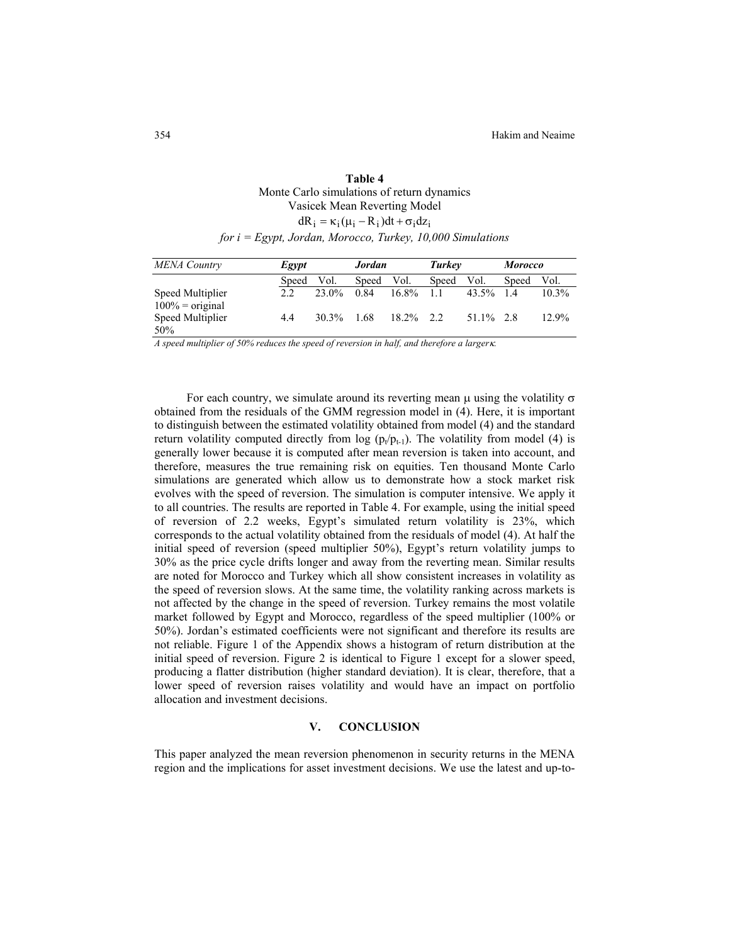| Table 4                                                       |
|---------------------------------------------------------------|
| Monte Carlo simulations of return dynamics                    |
| Vasicek Mean Reverting Model                                  |
| $dR_i = \kappa_i (\mu_i - R_i) dt + \sigma_i dz_i$            |
| for $i = Egypt$ , Jordan, Morocco, Turkey, 10,000 Simulations |

| <b>MENA</b> Country                    | Egypt |          | <b>Jordan</b> |              | Turkey |            | <b>Morocco</b> |          |
|----------------------------------------|-------|----------|---------------|--------------|--------|------------|----------------|----------|
|                                        | Speed | Vol.     | Speed         | Vol.         | Speed  | Vol.       | Speed          | Vol.     |
| Speed Multiplier<br>$100\%$ = original | 2.2   | $23.0\%$ | 0.84          | $16.8\%$     | -1-1   | 43.5%      | 14             | $10.3\%$ |
| Speed Multiplier<br>50%                | 4.4   | $30.3\%$ | - 1.68        | $18.2\%$ 2.2 |        | 51.1\% 2.8 |                | 12.9%    |

*A speed multiplier of 50% reduces the speed of reversion in half, and therefore a larger*κ*.* 

For each country, we simulate around its reverting mean  $\mu$  using the volatility  $\sigma$ obtained from the residuals of the GMM regression model in (4). Here, it is important to distinguish between the estimated volatility obtained from model (4) and the standard return volatility computed directly from log  $(p_t/p_{t-1})$ . The volatility from model (4) is generally lower because it is computed after mean reversion is taken into account, and therefore, measures the true remaining risk on equities. Ten thousand Monte Carlo simulations are generated which allow us to demonstrate how a stock market risk evolves with the speed of reversion. The simulation is computer intensive. We apply it to all countries. The results are reported in Table 4. For example, using the initial speed of reversion of 2.2 weeks, Egypt's simulated return volatility is 23%, which corresponds to the actual volatility obtained from the residuals of model (4). At half the initial speed of reversion (speed multiplier 50%), Egypt's return volatility jumps to 30% as the price cycle drifts longer and away from the reverting mean. Similar results are noted for Morocco and Turkey which all show consistent increases in volatility as the speed of reversion slows. At the same time, the volatility ranking across markets is not affected by the change in the speed of reversion. Turkey remains the most volatile market followed by Egypt and Morocco, regardless of the speed multiplier (100% or 50%). Jordan's estimated coefficients were not significant and therefore its results are not reliable. Figure 1 of the Appendix shows a histogram of return distribution at the initial speed of reversion. Figure 2 is identical to Figure 1 except for a slower speed, producing a flatter distribution (higher standard deviation). It is clear, therefore, that a lower speed of reversion raises volatility and would have an impact on portfolio allocation and investment decisions.

#### **V. CONCLUSION**

This paper analyzed the mean reversion phenomenon in security returns in the MENA region and the implications for asset investment decisions. We use the latest and up-to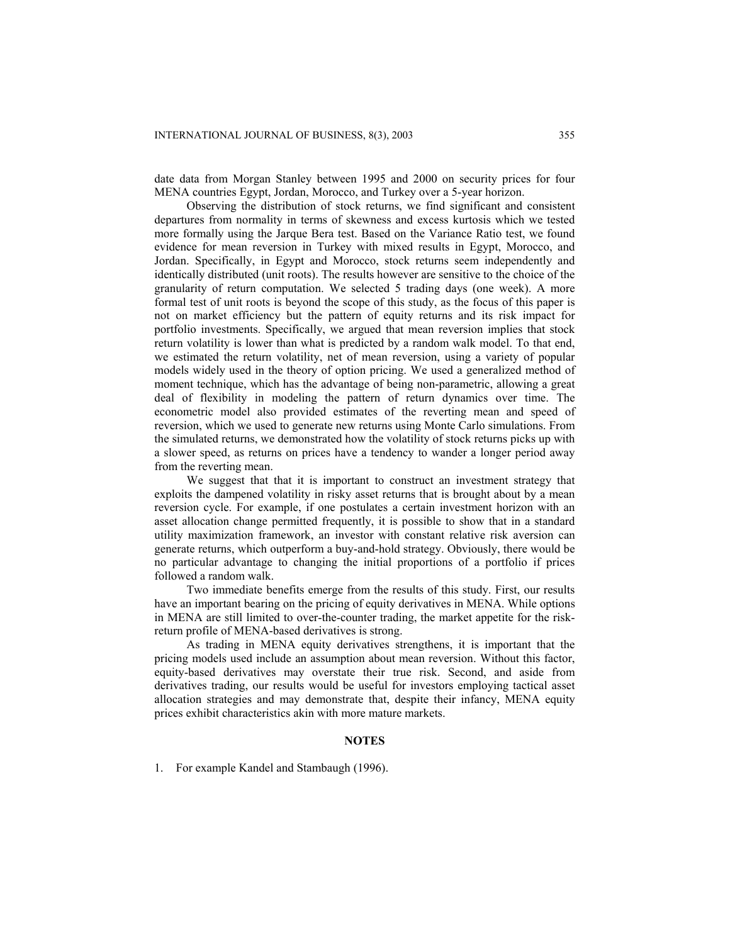date data from Morgan Stanley between 1995 and 2000 on security prices for four MENA countries Egypt, Jordan, Morocco, and Turkey over a 5-year horizon.

Observing the distribution of stock returns, we find significant and consistent departures from normality in terms of skewness and excess kurtosis which we tested more formally using the Jarque Bera test. Based on the Variance Ratio test, we found evidence for mean reversion in Turkey with mixed results in Egypt, Morocco, and Jordan. Specifically, in Egypt and Morocco, stock returns seem independently and identically distributed (unit roots). The results however are sensitive to the choice of the granularity of return computation. We selected 5 trading days (one week). A more formal test of unit roots is beyond the scope of this study, as the focus of this paper is not on market efficiency but the pattern of equity returns and its risk impact for portfolio investments. Specifically, we argued that mean reversion implies that stock return volatility is lower than what is predicted by a random walk model. To that end, we estimated the return volatility, net of mean reversion, using a variety of popular models widely used in the theory of option pricing. We used a generalized method of moment technique, which has the advantage of being non-parametric, allowing a great deal of flexibility in modeling the pattern of return dynamics over time. The econometric model also provided estimates of the reverting mean and speed of reversion, which we used to generate new returns using Monte Carlo simulations. From the simulated returns, we demonstrated how the volatility of stock returns picks up with a slower speed, as returns on prices have a tendency to wander a longer period away from the reverting mean.

We suggest that that it is important to construct an investment strategy that exploits the dampened volatility in risky asset returns that is brought about by a mean reversion cycle. For example, if one postulates a certain investment horizon with an asset allocation change permitted frequently, it is possible to show that in a standard utility maximization framework, an investor with constant relative risk aversion can generate returns, which outperform a buy-and-hold strategy. Obviously, there would be no particular advantage to changing the initial proportions of a portfolio if prices followed a random walk.

Two immediate benefits emerge from the results of this study. First, our results have an important bearing on the pricing of equity derivatives in MENA. While options in MENA are still limited to over-the-counter trading, the market appetite for the riskreturn profile of MENA-based derivatives is strong.

As trading in MENA equity derivatives strengthens, it is important that the pricing models used include an assumption about mean reversion. Without this factor, equity-based derivatives may overstate their true risk. Second, and aside from derivatives trading, our results would be useful for investors employing tactical asset allocation strategies and may demonstrate that, despite their infancy, MENA equity prices exhibit characteristics akin with more mature markets.

## **NOTES**

1. For example Kandel and Stambaugh (1996).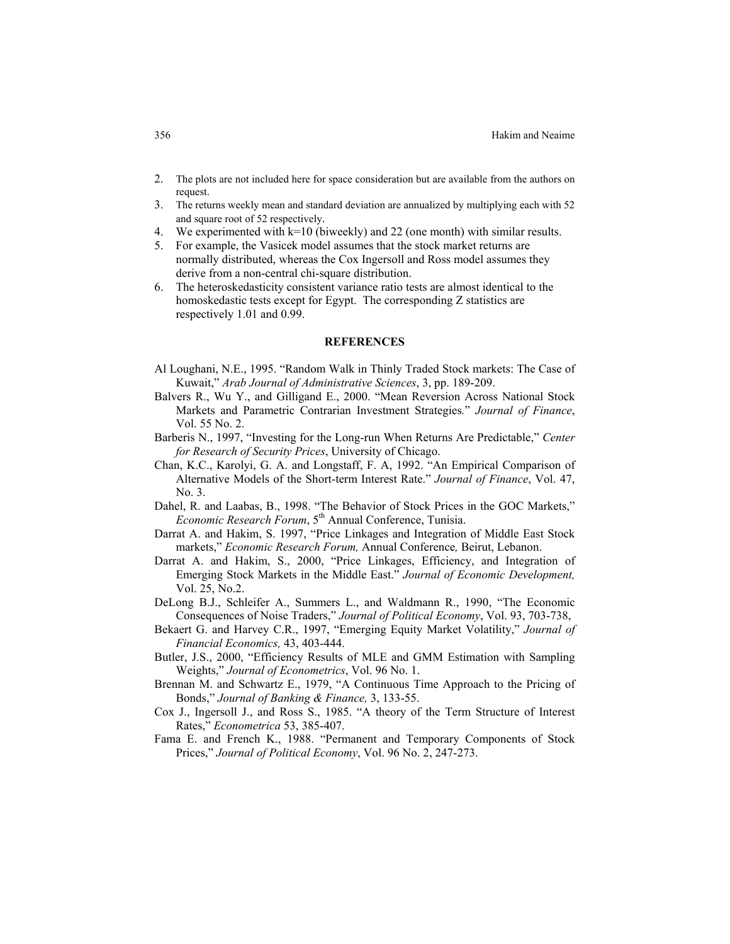#### 356 Hakim and Neaime

- 2. The plots are not included here for space consideration but are available from the authors on request.
- 3. The returns weekly mean and standard deviation are annualized by multiplying each with 52 and square root of 52 respectively.
- We experimented with  $k=10$  (biweekly) and 22 (one month) with similar results.
- 5. For example, the Vasicek model assumes that the stock market returns are normally distributed, whereas the Cox Ingersoll and Ross model assumes they derive from a non-central chi-square distribution.
- 6. The heteroskedasticity consistent variance ratio tests are almost identical to the homoskedastic tests except for Egypt. The corresponding Z statistics are respectively 1.01 and 0.99.

### **REFERENCES**

- Al Loughani, N.E., 1995. "Random Walk in Thinly Traded Stock markets: The Case of Kuwait," *Arab Journal of Administrative Sciences*, 3, pp. 189-209.
- Balvers R., Wu Y., and Gilligand E., 2000. "Mean Reversion Across National Stock Markets and Parametric Contrarian Investment Strategies*.*" *Journal of Finance*, Vol. 55 No. 2.
- Barberis N., 1997, "Investing for the Long-run When Returns Are Predictable," *Center for Research of Security Prices*, University of Chicago.
- Chan, K.C., Karolyi, G. A. and Longstaff, F. A, 1992. "An Empirical Comparison of Alternative Models of the Short-term Interest Rate." *Journal of Finance*, Vol. 47, No. 3.
- Dahel, R. and Laabas, B., 1998. "The Behavior of Stock Prices in the GOC Markets," *Economic Research Forum*, 5<sup>th</sup> Annual Conference, Tunisia.
- Darrat A. and Hakim, S. 1997, "Price Linkages and Integration of Middle East Stock markets," *Economic Research Forum,* Annual Conference*,* Beirut, Lebanon.
- Darrat A. and Hakim, S., 2000, "Price Linkages, Efficiency, and Integration of Emerging Stock Markets in the Middle East." *Journal of Economic Development,* Vol. 25, No.2.
- DeLong B.J., Schleifer A., Summers L., and Waldmann R., 1990, "The Economic Consequences of Noise Traders," *Journal of Political Economy*, Vol. 93, 703-738,
- Bekaert G. and Harvey C.R., 1997, "Emerging Equity Market Volatility," *Journal of Financial Economics,* 43, 403-444.
- Butler, J.S., 2000, "Efficiency Results of MLE and GMM Estimation with Sampling Weights," *Journal of Econometrics*, Vol. 96 No. 1.
- Brennan M. and Schwartz E., 1979, "A Continuous Time Approach to the Pricing of Bonds," *Journal of Banking & Finance,* 3, 133-55.
- Cox J., Ingersoll J., and Ross S., 1985. "A theory of the Term Structure of Interest Rates," *Econometrica* 53, 385-407.
- Fama E. and French K., 1988. "Permanent and Temporary Components of Stock Prices," *Journal of Political Economy*, Vol. 96 No. 2, 247-273.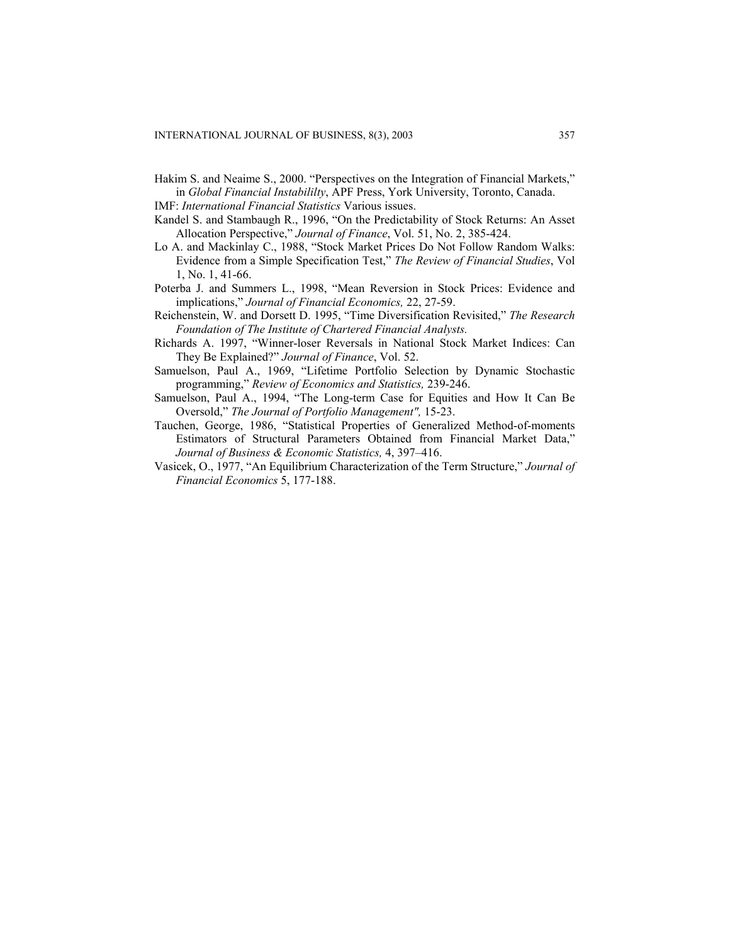Hakim S. and Neaime S., 2000. "Perspectives on the Integration of Financial Markets," in *Global Financial Instabililty*, APF Press, York University, Toronto, Canada.

IMF: *International Financial Statistics* Various issues.

- Kandel S. and Stambaugh R., 1996, "On the Predictability of Stock Returns: An Asset Allocation Perspective," *Journal of Finance*, Vol. 51, No. 2, 385-424.
- Lo A. and Mackinlay C., 1988, "Stock Market Prices Do Not Follow Random Walks: Evidence from a Simple Specification Test," *The Review of Financial Studies*, Vol 1, No. 1, 41-66.
- Poterba J. and Summers L., 1998, "Mean Reversion in Stock Prices: Evidence and implications," *Journal of Financial Economics,* 22, 27-59.
- Reichenstein, W. and Dorsett D. 1995, "Time Diversification Revisited," *The Research Foundation of The Institute of Chartered Financial Analysts.*
- Richards A. 1997, "Winner-loser Reversals in National Stock Market Indices: Can They Be Explained?" *Journal of Finance*, Vol. 52.
- Samuelson, Paul A., 1969, "Lifetime Portfolio Selection by Dynamic Stochastic programming," *Review of Economics and Statistics,* 239-246.
- Samuelson, Paul A., 1994, "The Long-term Case for Equities and How It Can Be Oversold," *The Journal of Portfolio Management",* 15-23.
- Tauchen, George, 1986, "Statistical Properties of Generalized Method-of-moments Estimators of Structural Parameters Obtained from Financial Market Data," *Journal of Business & Economic Statistics,* 4, 397–416.
- Vasicek, O., 1977, "An Equilibrium Characterization of the Term Structure," *Journal of Financial Economics* 5, 177-188.